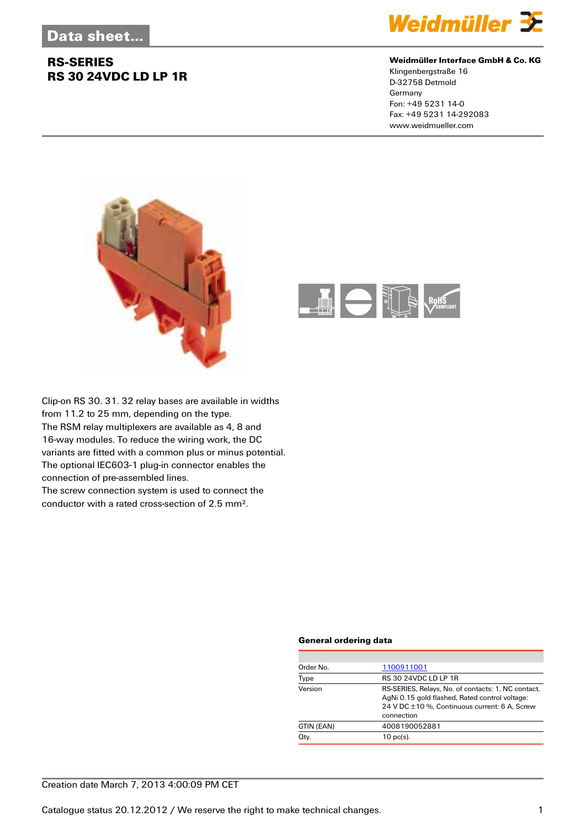# **RS-SERIES RS 30 24VDC LD LP 1R**



### **Weidmüller Interface GmbH & Co. KG**

Klingenbergstraße 16 D-32758 Detmold Germany Fon: +49 5231 14-0 Fax: +49 5231 14-292083 www.weidmueller.com





Clip-on RS 30. 31. 32 relay bases are available in widths from 11.2 to 25 mm, depending on the type. The RSM relay multiplexers are available as 4, 8 and 16-way modules. To reduce the wiring work, the DC variants are fitted with a common plus or minus potential. The optional IEC603-1 plug-in connector enables the connection of pre-assembled lines.

The screw connection system is used to connect the conductor with a rated cross-section of 2.5 mm².

### **General ordering data**

| Order No.  | 1100911001                                                                                                                                                          |  |  |
|------------|---------------------------------------------------------------------------------------------------------------------------------------------------------------------|--|--|
| Type       | RS 30 24VDC LD LP 1R                                                                                                                                                |  |  |
| Version    | RS-SERIES, Relays, No. of contacts: 1, NC contact,<br>AgNi 0.15 gold flashed, Rated control voltage:<br>24 V DC ±10 %, Continuous current: 6 A, Screw<br>connection |  |  |
| GTIN (EAN) | 4008190052881                                                                                                                                                       |  |  |
| Qty.       | $10$ pc(s).                                                                                                                                                         |  |  |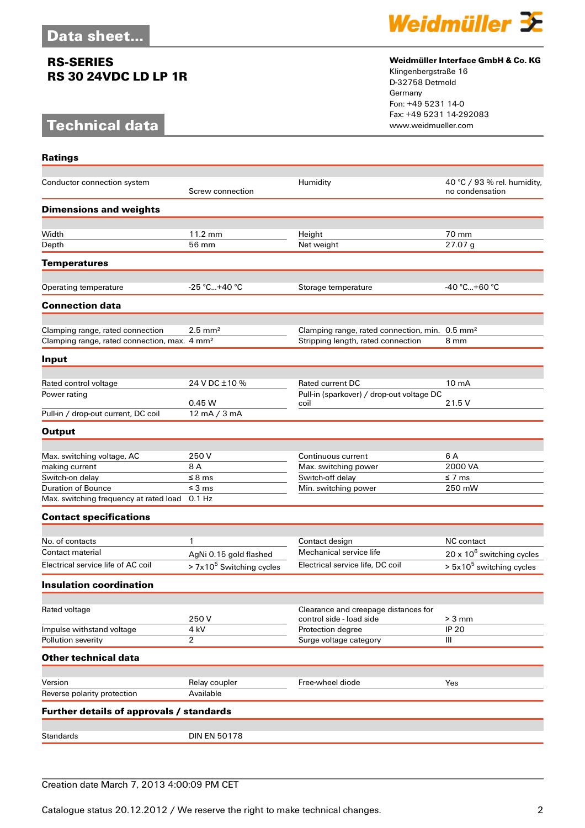# **RS-SERIES RS 30 24VDC LD LP 1R**

# **Technical data**

**Ratings**



### **Weidmüller Interface GmbH & Co. KG**

Klingenbergstraße 16 D-32758 Detmold Germany Fon: +49 5231 14-0 Fax: +49 5231 14-292083

| Conductor connection system                              | Screw connection           | Humidity                                                         | 40 °C / 93 % rel. humidity,<br>no condensation |
|----------------------------------------------------------|----------------------------|------------------------------------------------------------------|------------------------------------------------|
| <b>Dimensions and weights</b>                            |                            |                                                                  |                                                |
| Width                                                    | 11.2 mm                    | Height                                                           | 70 mm                                          |
| Depth                                                    | 56 mm                      | Net weight                                                       | 27.07 g                                        |
|                                                          |                            |                                                                  |                                                |
| <b>Temperatures</b>                                      |                            |                                                                  |                                                |
| Operating temperature                                    | $-25 °C+40 °C$             | Storage temperature                                              | -40 °C+60 °C                                   |
| <b>Connection data</b>                                   |                            |                                                                  |                                                |
| Clamping range, rated connection                         | $2.5$ mm <sup>2</sup>      | Clamping range, rated connection, min. 0.5 mm <sup>2</sup>       |                                                |
| Clamping range, rated connection, max. 4 mm <sup>2</sup> |                            | Stripping length, rated connection                               | 8 mm                                           |
| Input                                                    |                            |                                                                  |                                                |
|                                                          |                            |                                                                  |                                                |
| Rated control voltage                                    | 24 V DC ±10 %              | <b>Rated current DC</b>                                          | 10 <sub>m</sub> A                              |
| Power rating                                             | 0.45W                      | Pull-in (sparkover) / drop-out voltage DC<br>coil                | 21.5 V                                         |
| Pull-in / drop-out current, DC coil                      | 12 mA / 3 mA               |                                                                  |                                                |
| <b>Output</b>                                            |                            |                                                                  |                                                |
|                                                          |                            |                                                                  |                                                |
| Max. switching voltage, AC                               | 250 V                      | Continuous current                                               | 6 A                                            |
| making current                                           | 8 A                        | Max. switching power                                             | 2000 VA                                        |
| Switch-on delay<br><b>Duration of Bounce</b>             | $\leq$ 8 ms<br>$\leq$ 3 ms | Switch-off delay                                                 | $\leq$ 7 ms<br>250 mW                          |
| Max. switching frequency at rated load                   | $0.1$ Hz                   | Min. switching power                                             |                                                |
| <b>Contact specifications</b>                            |                            |                                                                  |                                                |
|                                                          |                            |                                                                  |                                                |
| No. of contacts                                          | 1                          | Contact design                                                   | <b>NC</b> contact                              |
| Contact material                                         | AgNi 0.15 gold flashed     | Mechanical service life                                          | $20 \times 10^6$ switching cycles              |
| Electrical service life of AC coil                       | $> 7x105$ Switching cycles | Electrical service life, DC coil                                 | $> 5x10^5$ switching cycles                    |
| <b>Insulation coordination</b>                           |                            |                                                                  |                                                |
|                                                          |                            |                                                                  |                                                |
| Rated voltage                                            | 250V                       | Clearance and creepage distances for<br>control side - load side | $> 3$ mm                                       |
| Impulse withstand voltage                                | 4 kV                       | Protection degree                                                | <b>IP 20</b>                                   |
| Pollution severity                                       | 2                          | Surge voltage category                                           | Ш                                              |
| <b>Other technical data</b>                              |                            |                                                                  |                                                |
|                                                          |                            |                                                                  |                                                |
| Version<br>Reverse polarity protection                   | Relay coupler<br>Available | Free-wheel diode                                                 | Yes                                            |
|                                                          |                            |                                                                  |                                                |
| Further details of approvals / standards                 |                            |                                                                  |                                                |
| <b>Standards</b>                                         | <b>DIN EN 50178</b>        |                                                                  |                                                |
|                                                          |                            |                                                                  |                                                |